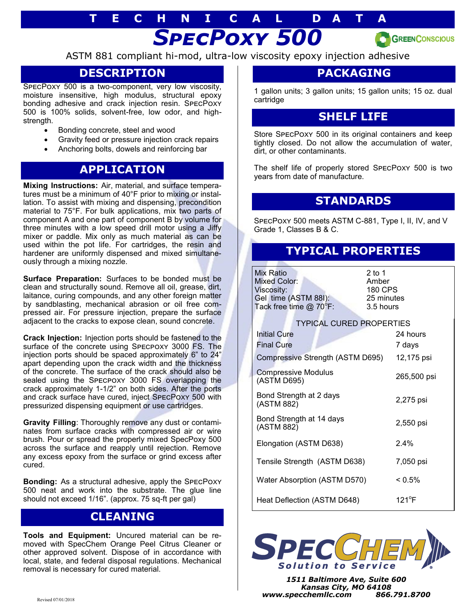# *SpecPoxy 500* **T E C H N I C A L D A T A**



ASTM 881 compliant hi-mod, ultra-low viscosity epoxy injection adhesive

## **DESCRIPTION**

SpecPoxy 500 is a two-component, very low viscosity, moisture insensitive, high modulus, structural epoxy bonding adhesive and crack injection resin. SpecPoxy 500 is 100% solids, solvent-free, low odor, and highstrength.

- Bonding concrete, steel and wood
- Gravity feed or pressure injection crack repairs
- Anchoring bolts, dowels and reinforcing bar

### **APPLICATION**

**Mixing Instructions:** Air, material, and surface temperatures must be a minimum of 40°F prior to mixing or installation. To assist with mixing and dispensing, precondition material to 75°F. For bulk applications, mix two parts of component A and one part of component B by volume for three minutes with a low speed drill motor using a Jiffy mixer or paddle. Mix only as much material as can be used within the pot life. For cartridges, the resin and hardener are uniformly dispensed and mixed simultaneously through a mixing nozzle.

**Surface Preparation:** Surfaces to be bonded must be clean and structurally sound. Remove all oil, grease, dirt, laitance, curing compounds, and any other foreign matter by sandblasting, mechanical abrasion or oil free compressed air. For pressure injection, prepare the surface adjacent to the cracks to expose clean, sound concrete.

**Crack Injection:** Injection ports should be fastened to the surface of the concrete using Specpoxy 3000 FS. The injection ports should be spaced approximately 6" to 24" apart depending upon the crack width and the thickness of the concrete. The surface of the crack should also be sealed using the Specpoxy 3000 FS overlapping the crack approximately 1-1/2" on both sides. After the ports and crack surface have cured, inject SpecPoxy 500 with pressurized dispensing equipment or use cartridges.

**Gravity Filling**: Thoroughly remove any dust or contaminates from surface cracks with compressed air or wire brush. Pour or spread the properly mixed SpecPoxy 500 across the surface and reapply until rejection. Remove any excess epoxy from the surface or grind excess after cured.

**Bonding:** As a structural adhesive, apply the SpecPoxy 500 neat and work into the substrate. The glue line should not exceed 1/16". (approx. 75 sq-ft per gal)

### **CLEANING**

**Tools and Equipment:** Uncured material can be removed with SpecChem Orange Peel Citrus Cleaner or other approved solvent. Dispose of in accordance with local, state, and federal disposal regulations. Mechanical removal is necessary for cured material.

#### **PACKAGING**

1 gallon units; 3 gallon units; 15 gallon units; 15 oz. dual cartridge

#### **SHELF LIFE**

Store SpecPoxy 500 in its original containers and keep tightly closed. Do not allow the accumulation of water, dirt, or other contaminants.

The shelf life of properly stored SpecPoxy 500 is two years from date of manufacture.

#### **STANDARDS**

SpecPoxy 500 meets ASTM C-881, Type I, II, IV, and V Grade 1, Classes B & C.

## **TYPICAL PROPERTIES**

| Mix Ratio<br>Mixed Color:<br>Viscosity:<br>Gel time (ASTM 88I):<br>Tack free time $@$ 70 ${}^{\circ}$ F:        | $2$ to 1<br>Amber<br>180 CPS<br>25 minutes<br>3.5 hours |
|-----------------------------------------------------------------------------------------------------------------|---------------------------------------------------------|
| <b>TYPICAL CURED PROPERTIES</b><br><b>Initial Cure</b><br><b>Final Cure</b><br>Compressive Strength (ASTM D695) | 24 hours<br>7 days<br>12,175 psi                        |
| <b>Compressive Modulus</b><br>(ASTM D695)                                                                       | 265,500 psi                                             |
| Bond Strength at 2 days<br>(ASTM 882)                                                                           | 2,275 psi                                               |
| Bond Strength at 14 days<br>(ASTM 882)                                                                          | 2,550 psi                                               |
| Elongation (ASTM D638)                                                                                          | $2.4\%$                                                 |
| Tensile Strength (ASTM D638)                                                                                    | 7,050 psi                                               |
| Water Absorption (ASTM D570)                                                                                    | $< 0.5\%$                                               |
| Heat Deflection (ASTM D648)                                                                                     | $121^{\circ}$ F                                         |



*1511 Baltimore Ave, Suite 600 Kansas City, MO 64108 www.specchemllc.com 866.791.8700*